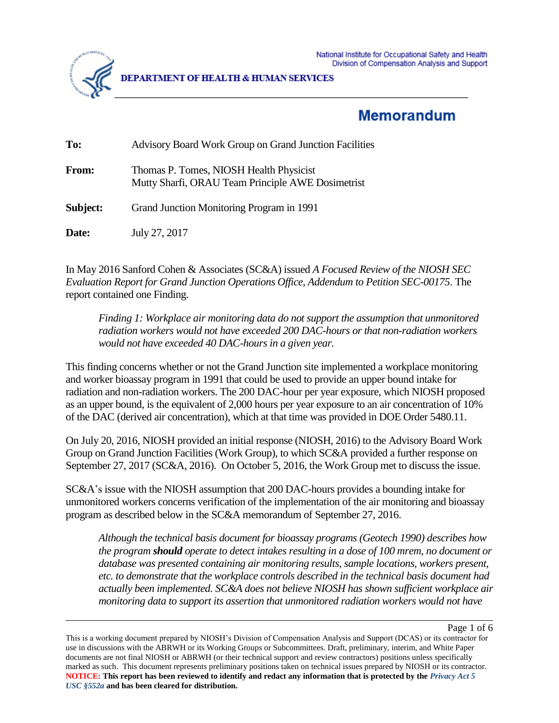



**DEPARTMENT OF HEALTH & HUMAN SERVICES** 

# **Memorandum**

| To:      | <b>Advisory Board Work Group on Grand Junction Facilities</b>                                |
|----------|----------------------------------------------------------------------------------------------|
| From:    | Thomas P. Tomes, NIOSH Health Physicist<br>Mutty Sharfi, ORAU Team Principle AWE Dosimetrist |
| Subject: | Grand Junction Monitoring Program in 1991                                                    |
| Date:    | July 27, 2017                                                                                |

In May 2016 Sanford Cohen & Associates (SC&A) issued *A Focused Review of the NIOSH SEC Evaluation Report for Grand Junction Operations Office, Addendum to Petition SEC-00175*. The report contained one Finding.

*Finding 1: Workplace air monitoring data do not support the assumption that unmonitored radiation workers would not have exceeded 200 DAC-hours or that non-radiation workers would not have exceeded 40 DAC-hours in a given year.*

This finding concerns whether or not the Grand Junction site implemented a workplace monitoring and worker bioassay program in 1991 that could be used to provide an upper bound intake for radiation and non-radiation workers. The 200 DAC-hour per year exposure, which NIOSH proposed as an upper bound, is the equivalent of 2,000 hours per year exposure to an air concentration of 10% of the DAC (derived air concentration), which at that time was provided in DOE Order 5480.11.

On July 20, 2016, NIOSH provided an initial response (NIOSH, 2016) to the Advisory Board Work Group on Grand Junction Facilities (Work Group), to which SC&A provided a further response on September 27, 2017 (SC&A, 2016). On October 5, 2016, the Work Group met to discuss the issue.

SC&A's issue with the NIOSH assumption that 200 DAC-hours provides a bounding intake for unmonitored workers concerns verification of the implementation of the air monitoring and bioassay program as described below in the SC&A memorandum of September 27, 2016.

*Although the technical basis document for bioassay programs (Geotech 1990) describes how the program should operate to detect intakes resulting in a dose of 100 mrem, no document or database was presented containing air monitoring results, sample locations, workers present, etc. to demonstrate that the workplace controls described in the technical basis document had actually been implemented. SC&A does not believe NIOSH has shown sufficient workplace air monitoring data to support its assertion that unmonitored radiation workers would not have* 

Page 1 of 6

This is a working document prepared by NIOSH's Division of Compensation Analysis and Support (DCAS) or its contractor for use in discussions with the ABRWH or its Working Groups or Subcommittees. Draft, preliminary, interim, and White Paper documents are not final NIOSH or ABRWH (or their technical support and review contractors) positions unless specifically marked as such. This document represents preliminary positions taken on technical issues prepared by NIOSH or its contractor. **NOTICE: This report has been reviewed to identify and redact any information that is protected by the** *Privacy Act 5 USC §552a* **and has been cleared for distribution.**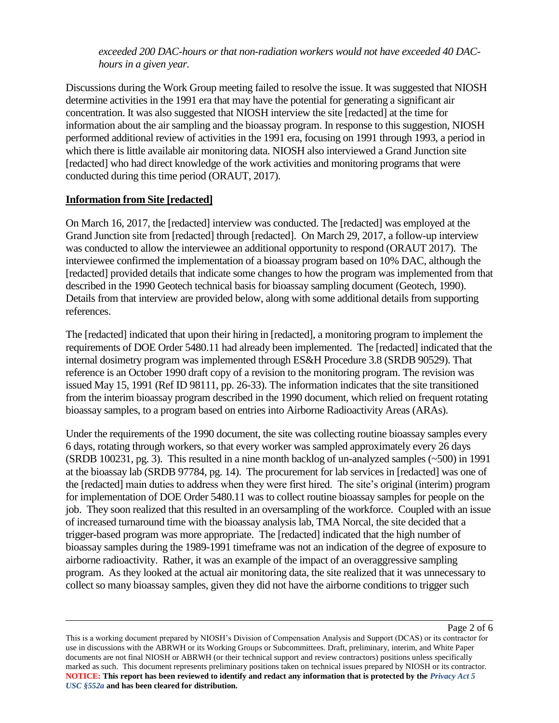*exceeded 200 DAC-hours or that non-radiation workers would not have exceeded 40 DAChours in a given year.* 

Discussions during the Work Group meeting failed to resolve the issue. It was suggested that NIOSH determine activities in the 1991 era that may have the potential for generating a significant air concentration. It was also suggested that NIOSH interview the site [redacted] at the time for information about the air sampling and the bioassay program. In response to this suggestion, NIOSH performed additional review of activities in the 1991 era, focusing on 1991 through 1993, a period in which there is little available air monitoring data. NIOSH also interviewed a Grand Junction site [redacted] who had direct knowledge of the work activities and monitoring programs that were conducted during this time period (ORAUT, 2017).

### **Information from Site [redacted]**

On March 16, 2017, the [redacted] interview was conducted. The [redacted] was employed at the Grand Junction site from [redacted] through [redacted]. On March 29, 2017, a follow-up interview was conducted to allow the interviewee an additional opportunity to respond (ORAUT 2017). The interviewee confirmed the implementation of a bioassay program based on 10% DAC, although the [redacted] provided details that indicate some changes to how the program was implemented from that described in the 1990 Geotech technical basis for bioassay sampling document (Geotech, 1990). Details from that interview are provided below, along with some additional details from supporting references.

The [redacted] indicated that upon their hiring in [redacted], a monitoring program to implement the requirements of DOE Order 5480.11 had already been implemented. The [redacted] indicated that the internal dosimetry program was implemented through ES&H Procedure 3.8 (SRDB 90529). That reference is an October 1990 draft copy of a revision to the monitoring program. The revision was issued May 15, 1991 (Ref ID 98111, pp. 26-33). The information indicates that the site transitioned from the interim bioassay program described in the 1990 document, which relied on frequent rotating bioassay samples, to a program based on entries into Airborne Radioactivity Areas (ARAs).

Under the requirements of the 1990 document, the site was collecting routine bioassay samples every 6 days, rotating through workers, so that every worker was sampled approximately every 26 days (SRDB 100231, pg. 3). This resulted in a nine month backlog of un-analyzed samples (~500) in 1991 at the bioassay lab (SRDB 97784, pg. 14). The procurement for lab services in [redacted] was one of the [redacted] main duties to address when they were first hired. The site's original (interim) program for implementation of DOE Order 5480.11 was to collect routine bioassay samples for people on the job. They soon realized that this resulted in an oversampling of the workforce. Coupled with an issue of increased turnaround time with the bioassay analysis lab, TMA Norcal, the site decided that a trigger-based program was more appropriate. The [redacted] indicated that the high number of bioassay samples during the 1989-1991 timeframe was not an indication of the degree of exposure to airborne radioactivity. Rather, it was an example of the impact of an overaggressive sampling program. As they looked at the actual air monitoring data, the site realized that it was unnecessary to collect so many bioassay samples, given they did not have the airborne conditions to trigger such

Page 2 of 6

This is a working document prepared by NIOSH's Division of Compensation Analysis and Support (DCAS) or its contractor for use in discussions with the ABRWH or its Working Groups or Subcommittees. Draft, preliminary, interim, and White Paper documents are not final NIOSH or ABRWH (or their technical support and review contractors) positions unless specifically marked as such. This document represents preliminary positions taken on technical issues prepared by NIOSH or its contractor. **NOTICE: This report has been reviewed to identify and redact any information that is protected by the** *Privacy Act 5 USC §552a* **and has been cleared for distribution.**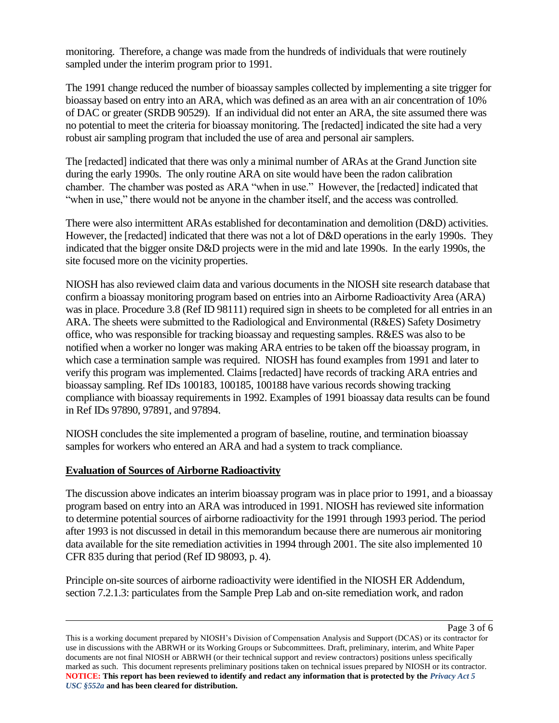monitoring. Therefore, a change was made from the hundreds of individuals that were routinely sampled under the interim program prior to 1991.

The 1991 change reduced the number of bioassay samples collected by implementing a site trigger for bioassay based on entry into an ARA, which was defined as an area with an air concentration of 10% of DAC or greater (SRDB 90529). If an individual did not enter an ARA, the site assumed there was no potential to meet the criteria for bioassay monitoring. The [redacted] indicated the site had a very robust air sampling program that included the use of area and personal air samplers.

The [redacted] indicated that there was only a minimal number of ARAs at the Grand Junction site during the early 1990s. The only routine ARA on site would have been the radon calibration chamber. The chamber was posted as ARA "when in use." However, the [redacted] indicated that "when in use," there would not be anyone in the chamber itself, and the access was controlled.

There were also intermittent ARAs established for decontamination and demolition (D&D) activities. However, the [redacted] indicated that there was not a lot of D&D operations in the early 1990s. They indicated that the bigger onsite D&D projects were in the mid and late 1990s. In the early 1990s, the site focused more on the vicinity properties.

NIOSH has also reviewed claim data and various documents in the NIOSH site research database that confirm a bioassay monitoring program based on entries into an Airborne Radioactivity Area (ARA) was in place. Procedure 3.8 (Ref ID 98111) required sign in sheets to be completed for all entries in an ARA. The sheets were submitted to the Radiological and Environmental (R&ES) Safety Dosimetry office, who was responsible for tracking bioassay and requesting samples. R&ES was also to be notified when a worker no longer was making ARA entries to be taken off the bioassay program, in which case a termination sample was required. NIOSH has found examples from 1991 and later to verify this program was implemented. Claims [redacted] have records of tracking ARA entries and bioassay sampling. Ref IDs 100183, 100185, 100188 have various records showing tracking compliance with bioassay requirements in 1992. Examples of 1991 bioassay data results can be found in Ref IDs 97890, 97891, and 97894.

NIOSH concludes the site implemented a program of baseline, routine, and termination bioassay samples for workers who entered an ARA and had a system to track compliance.

## **Evaluation of Sources of Airborne Radioactivity**

The discussion above indicates an interim bioassay program was in place prior to 1991, and a bioassay program based on entry into an ARA was introduced in 1991. NIOSH has reviewed site information to determine potential sources of airborne radioactivity for the 1991 through 1993 period. The period after 1993 is not discussed in detail in this memorandum because there are numerous air monitoring data available for the site remediation activities in 1994 through 2001. The site also implemented 10 CFR 835 during that period (Ref ID 98093, p. 4).

Principle on-site sources of airborne radioactivity were identified in the NIOSH ER Addendum, section 7.2.1.3: particulates from the Sample Prep Lab and on-site remediation work, and radon

Page 3 of 6

This is a working document prepared by NIOSH's Division of Compensation Analysis and Support (DCAS) or its contractor for use in discussions with the ABRWH or its Working Groups or Subcommittees. Draft, preliminary, interim, and White Paper documents are not final NIOSH or ABRWH (or their technical support and review contractors) positions unless specifically marked as such. This document represents preliminary positions taken on technical issues prepared by NIOSH or its contractor. **NOTICE: This report has been reviewed to identify and redact any information that is protected by the** *Privacy Act 5 USC §552a* **and has been cleared for distribution.**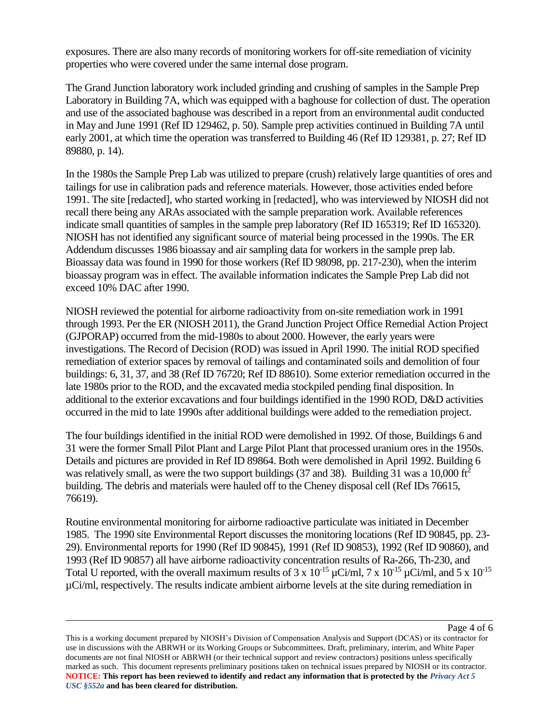exposures. There are also many records of monitoring workers for off-site remediation of vicinity properties who were covered under the same internal dose program.

The Grand Junction laboratory work included grinding and crushing of samples in the Sample Prep Laboratory in Building 7A, which was equipped with a baghouse for collection of dust. The operation and use of the associated baghouse was described in a report from an environmental audit conducted in May and June 1991 (Ref ID 129462, p. 50). Sample prep activities continued in Building 7A until early 2001, at which time the operation was transferred to Building 46 (Ref ID 129381, p. 27; Ref ID 89880, p. 14).

In the 1980s the Sample Prep Lab was utilized to prepare (crush) relatively large quantities of ores and tailings for use in calibration pads and reference materials. However, those activities ended before 1991. The site [redacted], who started working in [redacted], who was interviewed by NIOSH did not recall there being any ARAs associated with the sample preparation work. Available references indicate small quantities of samples in the sample prep laboratory (Ref ID 165319; Ref ID 165320). NIOSH has not identified any significant source of material being processed in the 1990s. The ER Addendum discusses 1986 bioassay and air sampling data for workers in the sample prep lab. Bioassay data was found in 1990 for those workers (Ref ID 98098, pp. 217-230), when the interim bioassay program was in effect. The available information indicates the Sample Prep Lab did not exceed 10% DAC after 1990.

NIOSH reviewed the potential for airborne radioactivity from on-site remediation work in 1991 through 1993. Per the ER (NIOSH 2011), the Grand Junction Project Office Remedial Action Project (GJPORAP) occurred from the mid-1980s to about 2000. However, the early years were investigations. The Record of Decision (ROD) was issued in April 1990. The initial ROD specified remediation of exterior spaces by removal of tailings and contaminated soils and demolition of four buildings: 6, 31, 37, and 38 (Ref ID 76720; Ref ID 88610). Some exterior remediation occurred in the late 1980s prior to the ROD, and the excavated media stockpiled pending final disposition. In additional to the exterior excavations and four buildings identified in the 1990 ROD, D&D activities occurred in the mid to late 1990s after additional buildings were added to the remediation project.

The four buildings identified in the initial ROD were demolished in 1992. Of those, Buildings 6 and 31 were the former Small Pilot Plant and Large Pilot Plant that processed uranium ores in the 1950s. Details and pictures are provided in Ref ID 89864. Both were demolished in April 1992. Building 6 was relatively small, as were the two support buildings (37 and 38). Building 31 was a 10,000 ft<sup>2</sup> building. The debris and materials were hauled off to the Cheney disposal cell (Ref IDs 76615, 76619).

Routine environmental monitoring for airborne radioactive particulate was initiated in December 1985. The 1990 site Environmental Report discusses the monitoring locations (Ref ID 90845, pp. 23- 29). Environmental reports for 1990 (Ref ID 90845), 1991 (Ref ID 90853), 1992 (Ref ID 90860), and 1993 (Ref ID 90857) all have airborne radioactivity concentration results of Ra-266, Th-230, and Total U reported, with the overall maximum results of 3 x  $10^{-15} \mu$ Ci/ml, 7 x  $10^{-15} \mu$ Ci/ml, and 5 x  $10^{-15}$ µCi/ml, respectively. The results indicate ambient airborne levels at the site during remediation in

Page 4 of 6

This is a working document prepared by NIOSH's Division of Compensation Analysis and Support (DCAS) or its contractor for use in discussions with the ABRWH or its Working Groups or Subcommittees. Draft, preliminary, interim, and White Paper documents are not final NIOSH or ABRWH (or their technical support and review contractors) positions unless specifically marked as such. This document represents preliminary positions taken on technical issues prepared by NIOSH or its contractor. **NOTICE: This report has been reviewed to identify and redact any information that is protected by the** *Privacy Act 5 USC §552a* **and has been cleared for distribution.**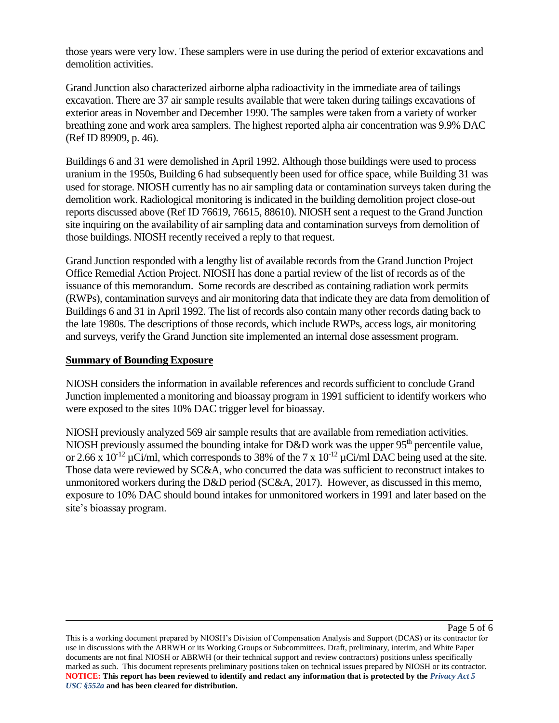those years were very low. These samplers were in use during the period of exterior excavations and demolition activities.

Grand Junction also characterized airborne alpha radioactivity in the immediate area of tailings excavation. There are 37 air sample results available that were taken during tailings excavations of exterior areas in November and December 1990. The samples were taken from a variety of worker breathing zone and work area samplers. The highest reported alpha air concentration was 9.9% DAC (Ref ID 89909, p. 46).

Buildings 6 and 31 were demolished in April 1992. Although those buildings were used to process uranium in the 1950s, Building 6 had subsequently been used for office space, while Building 31 was used for storage. NIOSH currently has no air sampling data or contamination surveys taken during the demolition work. Radiological monitoring is indicated in the building demolition project close-out reports discussed above (Ref ID 76619, 76615, 88610). NIOSH sent a request to the Grand Junction site inquiring on the availability of air sampling data and contamination surveys from demolition of those buildings. NIOSH recently received a reply to that request.

Grand Junction responded with a lengthy list of available records from the Grand Junction Project Office Remedial Action Project. NIOSH has done a partial review of the list of records as of the issuance of this memorandum. Some records are described as containing radiation work permits (RWPs), contamination surveys and air monitoring data that indicate they are data from demolition of Buildings 6 and 31 in April 1992. The list of records also contain many other records dating back to the late 1980s. The descriptions of those records, which include RWPs, access logs, air monitoring and surveys, verify the Grand Junction site implemented an internal dose assessment program.

#### **Summary of Bounding Exposure**

NIOSH considers the information in available references and records sufficient to conclude Grand Junction implemented a monitoring and bioassay program in 1991 sufficient to identify workers who were exposed to the sites 10% DAC trigger level for bioassay.

NIOSH previously analyzed 569 air sample results that are available from remediation activities. NIOSH previously assumed the bounding intake for D&D work was the upper  $95<sup>th</sup>$  percentile value, or 2.66 x  $10^{-12}$   $\mu$ Ci/ml, which corresponds to 38% of the 7 x  $10^{-12}$   $\mu$ Ci/ml DAC being used at the site. Those data were reviewed by SC&A, who concurred the data was sufficient to reconstruct intakes to unmonitored workers during the D&D period (SC&A, 2017). However, as discussed in this memo, exposure to 10% DAC should bound intakes for unmonitored workers in 1991 and later based on the site's bioassay program.

This is a working document prepared by NIOSH's Division of Compensation Analysis and Support (DCAS) or its contractor for use in discussions with the ABRWH or its Working Groups or Subcommittees. Draft, preliminary, interim, and White Paper documents are not final NIOSH or ABRWH (or their technical support and review contractors) positions unless specifically marked as such. This document represents preliminary positions taken on technical issues prepared by NIOSH or its contractor. **NOTICE: This report has been reviewed to identify and redact any information that is protected by the** *Privacy Act 5 USC §552a* **and has been cleared for distribution.**